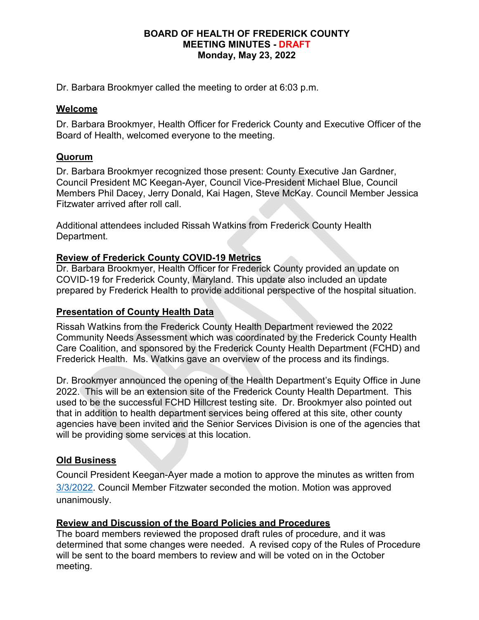#### **BOARD OF HEALTH OF FREDERICK COUNTY MEETING MINUTES - DRAFT Monday, May 23, 2022**

Dr. Barbara Brookmyer called the meeting to order at 6:03 p.m.

## **Welcome**

Dr. Barbara Brookmyer, Health Officer for Frederick County and Executive Officer of the Board of Health, welcomed everyone to the meeting.

# **Quorum**

Dr. Barbara Brookmyer recognized those present: County Executive Jan Gardner, Council President MC Keegan-Ayer, Council Vice-President Michael Blue, Council Members Phil Dacey, Jerry Donald, Kai Hagen, Steve McKay. Council Member Jessica Fitzwater arrived after roll call.

Additional attendees included Rissah Watkins from Frederick County Health Department.

## **Review of Frederick County COVID-19 Metrics**

Dr. Barbara Brookmyer, Health Officer for Frederick County provided an update on COVID-19 for Frederick County, Maryland. This update also included an update prepared by Frederick Health to provide additional perspective of the hospital situation.

## **Presentation of County Health Data**

Rissah Watkins from the Frederick County Health Department reviewed the 2022 Community Needs Assessment which was coordinated by the Frederick County Health Care Coalition, and sponsored by the Frederick County Health Department (FCHD) and Frederick Health. Ms. Watkins gave an overview of the process and its findings.

Dr. Brookmyer announced the opening of the Health Department's Equity Office in June 2022. This will be an extension site of the Frederick County Health Department. This used to be the successful FCHD Hillcrest testing site. Dr. Brookmyer also pointed out that in addition to health department services being offered at this site, other county agencies have been invited and the Senior Services Division is one of the agencies that will be providing some services at this location.

# **Old Business**

Council President Keegan-Ayer made a motion to approve the minutes as written from [3/3/2022.](https://health.frederickcountymd.gov/ArchiveCenter/ViewFile/Item/426) Council Member Fitzwater seconded the motion. Motion was approved unanimously.

# **Review and Discussion of the Board Policies and Procedures**

The board members reviewed the proposed draft rules of procedure, and it was determined that some changes were needed. A revised copy of the Rules of Procedure will be sent to the board members to review and will be voted on in the October meeting.